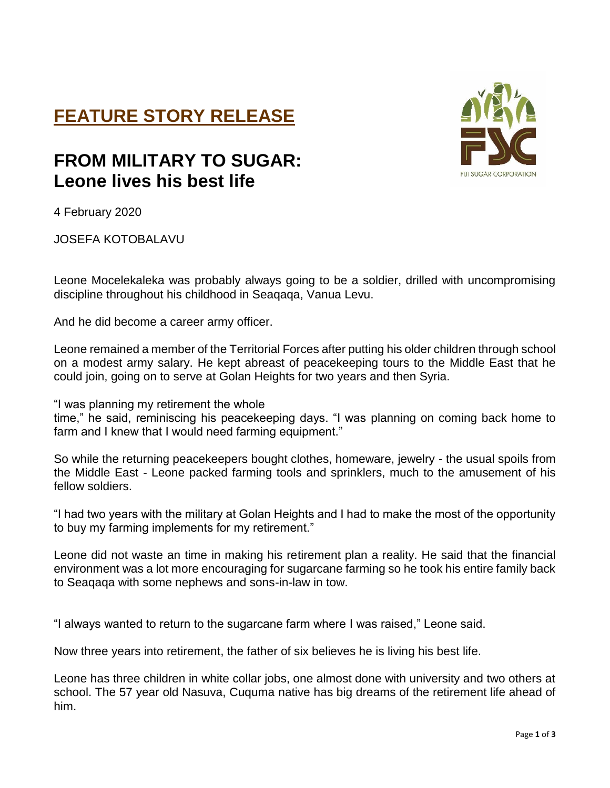## **FEATURE STORY RELEASE**

## **FROM MILITARY TO SUGAR: Leone lives his best life**



4 February 2020

JOSEFA KOTOBALAVU

Leone Mocelekaleka was probably always going to be a soldier, drilled with uncompromising discipline throughout his childhood in Seaqaqa, Vanua Levu.

And he did become a career army officer.

Leone remained a member of the Territorial Forces after putting his older children through school on a modest army salary. He kept abreast of peacekeeping tours to the Middle East that he could join, going on to serve at Golan Heights for two years and then Syria.

"I was planning my retirement the whole

time," he said, reminiscing his peacekeeping days. "I was planning on coming back home to farm and I knew that I would need farming equipment."

So while the returning peacekeepers bought clothes, homeware, jewelry - the usual spoils from the Middle East - Leone packed farming tools and sprinklers, much to the amusement of his fellow soldiers.

"I had two years with the military at Golan Heights and I had to make the most of the opportunity to buy my farming implements for my retirement."

Leone did not waste an time in making his retirement plan a reality. He said that the financial environment was a lot more encouraging for sugarcane farming so he took his entire family back to Seaqaqa with some nephews and sons-in-law in tow.

"I always wanted to return to the sugarcane farm where I was raised," Leone said.

Now three years into retirement, the father of six believes he is living his best life.

Leone has three children in white collar jobs, one almost done with university and two others at school. The 57 year old Nasuva, Cuquma native has big dreams of the retirement life ahead of him.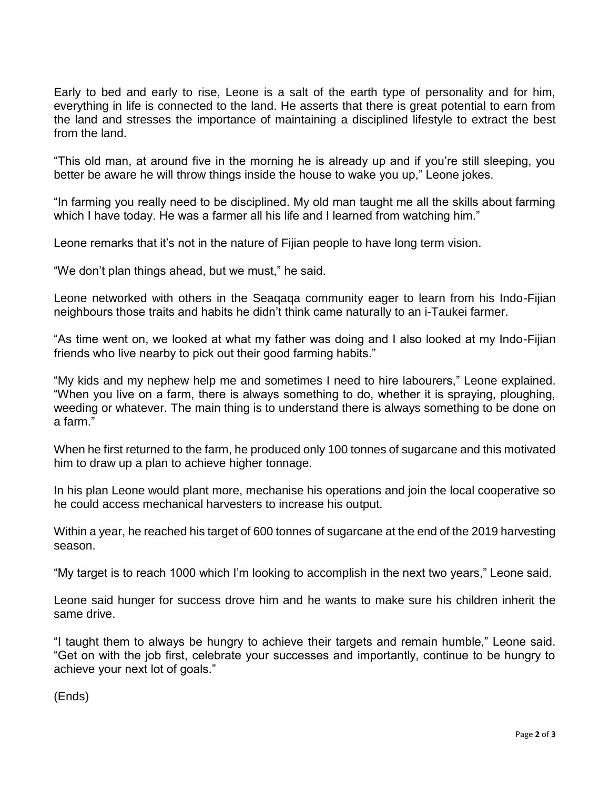Early to bed and early to rise, Leone is a salt of the earth type of personality and for him, everything in life is connected to the land. He asserts that there is great potential to earn from the land and stresses the importance of maintaining a disciplined lifestyle to extract the best from the land.

"This old man, at around five in the morning he is already up and if you're still sleeping, you better be aware he will throw things inside the house to wake you up," Leone jokes.

"In farming you really need to be disciplined. My old man taught me all the skills about farming which I have today. He was a farmer all his life and I learned from watching him."

Leone remarks that it's not in the nature of Fijian people to have long term vision.

"We don't plan things ahead, but we must," he said.

Leone networked with others in the Seaqaqa community eager to learn from his Indo-Fijian neighbours those traits and habits he didn't think came naturally to an i-Taukei farmer.

"As time went on, we looked at what my father was doing and I also looked at my Indo-Fijian friends who live nearby to pick out their good farming habits."

"My kids and my nephew help me and sometimes I need to hire labourers," Leone explained. "When you live on a farm, there is always something to do, whether it is spraying, ploughing, weeding or whatever. The main thing is to understand there is always something to be done on a farm."

When he first returned to the farm, he produced only 100 tonnes of sugarcane and this motivated him to draw up a plan to achieve higher tonnage.

In his plan Leone would plant more, mechanise his operations and join the local cooperative so he could access mechanical harvesters to increase his output.

Within a year, he reached his target of 600 tonnes of sugarcane at the end of the 2019 harvesting season.

"My target is to reach 1000 which I'm looking to accomplish in the next two years," Leone said.

Leone said hunger for success drove him and he wants to make sure his children inherit the same drive.

"I taught them to always be hungry to achieve their targets and remain humble," Leone said. "Get on with the job first, celebrate your successes and importantly, continue to be hungry to achieve your next lot of goals."

(Ends)